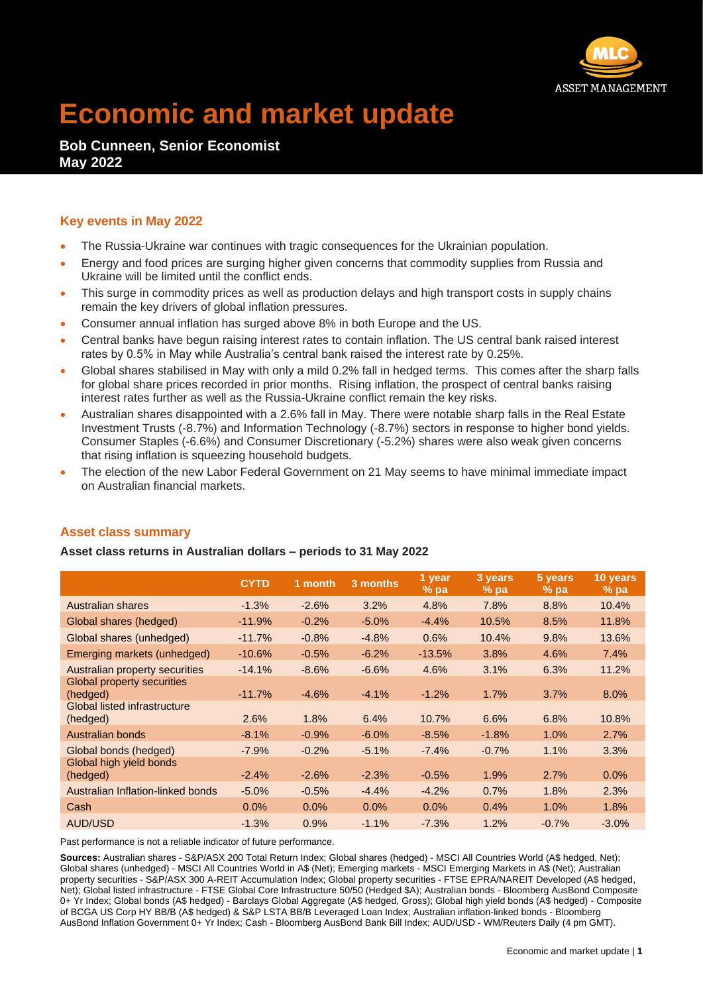

# **Economic and market update**

## **Bob Cunneen, Senior Economist May 2022**

### **Key events in May 2022**

- The Russia-Ukraine war continues with tragic consequences for the Ukrainian population.
- Energy and food prices are surging higher given concerns that commodity supplies from Russia and Ukraine will be limited until the conflict ends.
- This surge in commodity prices as well as production delays and high transport costs in supply chains remain the key drivers of global inflation pressures.
- Consumer annual inflation has surged above 8% in both Europe and the US.
- Central banks have begun raising interest rates to contain inflation. The US central bank raised interest rates by 0.5% in May while Australia's central bank raised the interest rate by 0.25%.
- Global shares stabilised in May with only a mild 0.2% fall in hedged terms. This comes after the sharp falls for global share prices recorded in prior months. Rising inflation, the prospect of central banks raising interest rates further as well as the Russia-Ukraine conflict remain the key risks.
- Australian shares disappointed with a 2.6% fall in May. There were notable sharp falls in the Real Estate Investment Trusts (-8.7%) and Information Technology (-8.7%) sectors in response to higher bond yields. Consumer Staples (-6.6%) and Consumer Discretionary (-5.2%) shares were also weak given concerns that rising inflation is squeezing household budgets.
- The election of the new Labor Federal Government on 21 May seems to have minimal immediate impact on Australian financial markets.

|                                                                        | <b>CYTD</b> | 1 month | 3 months | 1 year<br>$%$ pa | 3 years<br>$%$ pa | 5 years<br>$%$ pa | $10$ years<br>$%$ pa |
|------------------------------------------------------------------------|-------------|---------|----------|------------------|-------------------|-------------------|----------------------|
| Australian shares                                                      | $-1.3%$     | $-2.6%$ | 3.2%     | 4.8%             | 7.8%              | 8.8%              | 10.4%                |
| Global shares (hedged)                                                 | $-11.9%$    | $-0.2%$ | $-5.0%$  | $-4.4%$          | 10.5%             | 8.5%              | 11.8%                |
| Global shares (unhedged)                                               | $-11.7%$    | $-0.8%$ | $-4.8%$  | 0.6%             | 10.4%             | 9.8%              | 13.6%                |
| Emerging markets (unhedged)                                            | $-10.6%$    | $-0.5%$ | $-6.2%$  | $-13.5%$         | 3.8%              | 4.6%              | 7.4%                 |
| Australian property securities                                         | $-14.1%$    | $-8.6%$ | $-6.6%$  | 4.6%             | 3.1%              | 6.3%              | 11.2%                |
| Global property securities<br>(hedged)<br>Global listed infrastructure | $-11.7%$    | $-4.6%$ | $-4.1%$  | $-1.2%$          | 1.7%              | 3.7%              | 8.0%                 |
| (hedged)                                                               | 2.6%        | 1.8%    | 6.4%     | 10.7%            | 6.6%              | 6.8%              | 10.8%                |
| Australian bonds                                                       | $-8.1%$     | $-0.9%$ | $-6.0%$  | $-8.5%$          | $-1.8%$           | 1.0%              | 2.7%                 |
| Global bonds (hedged)                                                  | $-7.9%$     | $-0.2%$ | $-5.1%$  | $-7.4%$          | $-0.7%$           | 1.1%              | 3.3%                 |
| Global high yield bonds<br>(hedged)                                    | $-2.4%$     | $-2.6%$ | $-2.3%$  | $-0.5%$          | 1.9%              | 2.7%              | 0.0%                 |
| Australian Inflation-linked bonds                                      | $-5.0%$     | $-0.5%$ | $-4.4%$  | $-4.2%$          | 0.7%              | 1.8%              | 2.3%                 |
| Cash                                                                   | $0.0\%$     | $0.0\%$ | $0.0\%$  | $0.0\%$          | 0.4%              | 1.0%              | 1.8%                 |
| AUD/USD                                                                | $-1.3%$     | 0.9%    | $-1.1%$  | $-7.3%$          | 1.2%              | $-0.7%$           | $-3.0%$              |
|                                                                        |             |         |          |                  |                   |                   |                      |

#### **Asset class summary**

**Asset class returns in Australian dollars – periods to 31 May 2022**

Past performance is not a reliable indicator of future performance.

**Sources:** Australian shares - S&P/ASX 200 Total Return Index; Global shares (hedged) - MSCI All Countries World (A\$ hedged, Net); Global shares (unhedged) - MSCI All Countries World in A\$ (Net); Emerging markets - MSCI Emerging Markets in A\$ (Net); Australian property securities - S&P/ASX 300 A-REIT Accumulation Index; Global property securities - FTSE EPRA/NAREIT Developed (A\$ hedged, Net); Global listed infrastructure - FTSE Global Core Infrastructure 50/50 (Hedged \$A); Australian bonds - Bloomberg AusBond Composite 0+ Yr Index; Global bonds (A\$ hedged) - Barclays Global Aggregate (A\$ hedged, Gross); Global high yield bonds (A\$ hedged) - Composite of BCGA US Corp HY BB/B (A\$ hedged) & S&P LSTA BB/B Leveraged Loan Index; Australian inflation-linked bonds - Bloomberg AusBond Inflation Government 0+ Yr Index; Cash - Bloomberg AusBond Bank Bill Index; AUD/USD - WM/Reuters Daily (4 pm GMT).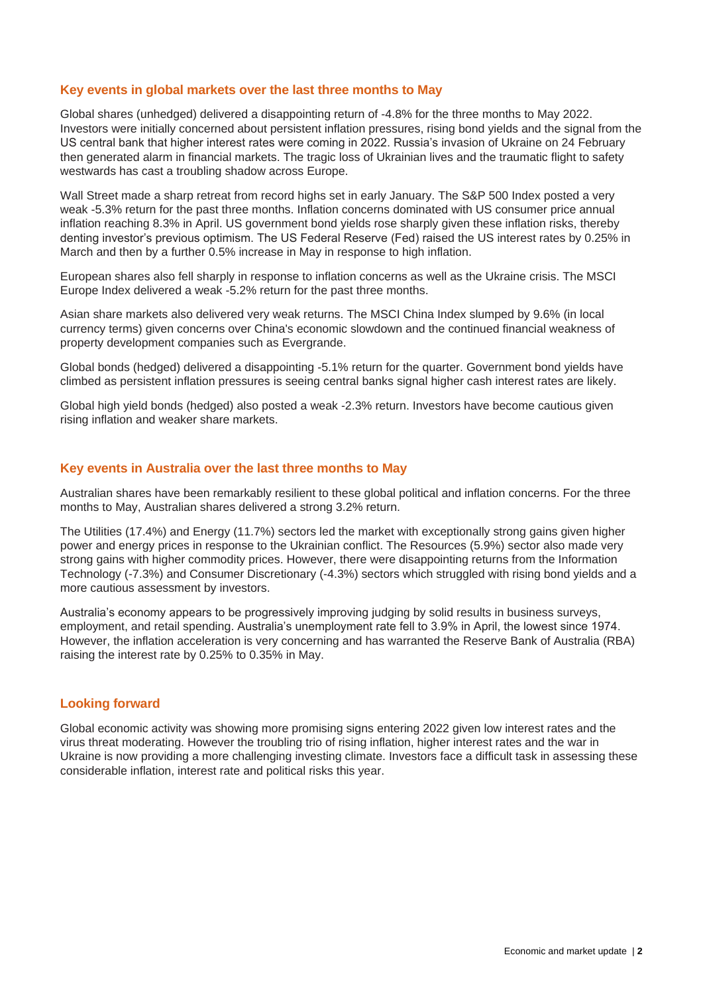#### **Key events in global markets over the last three months to May**

Global shares (unhedged) delivered a disappointing return of -4.8% for the three months to May 2022. Investors were initially concerned about persistent inflation pressures, rising bond yields and the signal from the US central bank that higher interest rates were coming in 2022. Russia's invasion of Ukraine on 24 February then generated alarm in financial markets. The tragic loss of Ukrainian lives and the traumatic flight to safety westwards has cast a troubling shadow across Europe.

Wall Street made a sharp retreat from record highs set in early January. The S&P 500 Index posted a very weak -5.3% return for the past three months. Inflation concerns dominated with US consumer price annual inflation reaching 8.3% in April. US government bond yields rose sharply given these inflation risks, thereby denting investor's previous optimism. The US Federal Reserve (Fed) raised the US interest rates by 0.25% in March and then by a further 0.5% increase in May in response to high inflation.

European shares also fell sharply in response to inflation concerns as well as the Ukraine crisis. The MSCI Europe Index delivered a weak -5.2% return for the past three months.

Asian share markets also delivered very weak returns. The MSCI China Index slumped by 9.6% (in local currency terms) given concerns over China's economic slowdown and the continued financial weakness of property development companies such as Evergrande.

Global bonds (hedged) delivered a disappointing -5.1% return for the quarter. Government bond yields have climbed as persistent inflation pressures is seeing central banks signal higher cash interest rates are likely.

Global high yield bonds (hedged) also posted a weak -2.3% return. Investors have become cautious given rising inflation and weaker share markets.

#### **Key events in Australia over the last three months to May**

Australian shares have been remarkably resilient to these global political and inflation concerns. For the three months to May, Australian shares delivered a strong 3.2% return.

The Utilities (17.4%) and Energy (11.7%) sectors led the market with exceptionally strong gains given higher power and energy prices in response to the Ukrainian conflict. The Resources (5.9%) sector also made very strong gains with higher commodity prices. However, there were disappointing returns from the Information Technology (-7.3%) and Consumer Discretionary (-4.3%) sectors which struggled with rising bond yields and a more cautious assessment by investors.

Australia's economy appears to be progressively improving judging by solid results in business surveys, employment, and retail spending. Australia's unemployment rate fell to 3.9% in April, the lowest since 1974. However, the inflation acceleration is very concerning and has warranted the Reserve Bank of Australia (RBA) raising the interest rate by 0.25% to 0.35% in May.

#### **Looking forward**

Global economic activity was showing more promising signs entering 2022 given low interest rates and the virus threat moderating. However the troubling trio of rising inflation, higher interest rates and the war in Ukraine is now providing a more challenging investing climate. Investors face a difficult task in assessing these considerable inflation, interest rate and political risks this year.